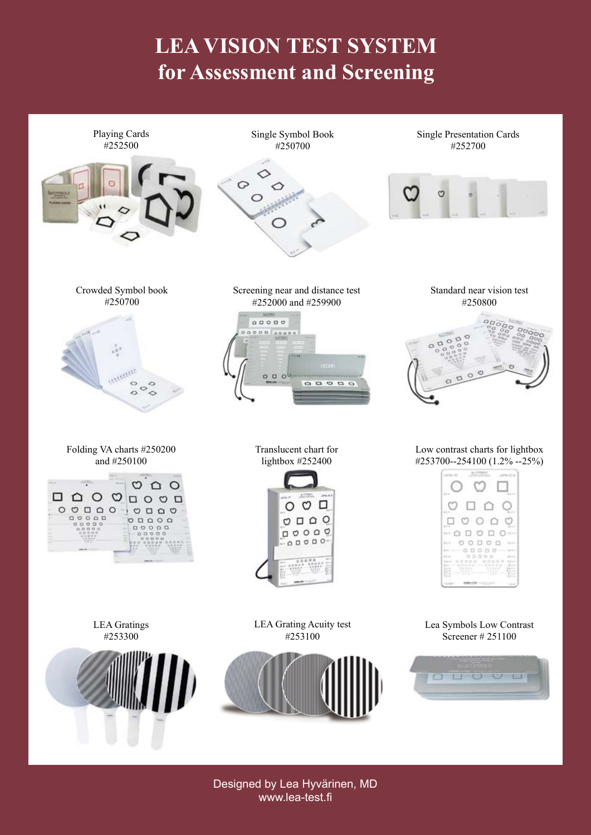# **LEA VISION TEST SYSTEM for Assessment and Screening**



Designed by Lea Hyvärinen, MD www.lea-test.fi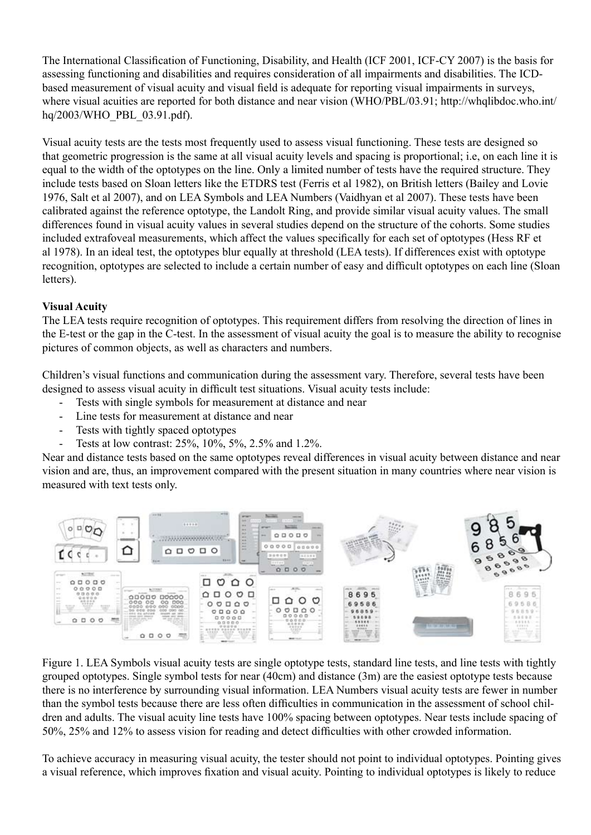The International Classification of Functioning, Disability, and Health (ICF 2001, ICF-CY 2007) is the basis for assessing functioning and disabilities and requires consideration of all impairments and disabilities. The ICDbased measurement of visual acuity and visual field is adequate for reporting visual impairments in surveys, where visual acuities are reported for both distance and near vision (WHO/PBL/03.91; http://whqlibdoc.who.int/ hq/2003/WHO\_PBL\_03.91.pdf).

Visual acuity tests are the tests most frequently used to assess visual functioning. These tests are designed so that geometric progression is the same at all visual acuity levels and spacing is proportional; i.e, on each line it is equal to the width of the optotypes on the line. Only a limited number of tests have the required structure. They include tests based on Sloan letters like the ETDRS test (Ferris et al 1982), on British letters (Bailey and Lovie 1976, Salt et al 2007), and on LEA Symbols and LEA Numbers (Vaidhyan et al 2007). These tests have been calibrated against the reference optotype, the Landolt Ring, and provide similar visual acuity values. The small differences found in visual acuity values in several studies depend on the structure of the cohorts. Some studies included extrafoveal measurements, which affect the values specifically for each set of optotypes (Hess RF et al 1978). In an ideal test, the optotypes blur equally at threshold (LEA tests). If differences exist with optotype recognition, optotypes are selected to include a certain number of easy and difficult optotypes on each line (Sloan letters).

# **Visual Acuity**

The LEA tests require recognition of optotypes. This requirement differs from resolving the direction of lines in the E-test or the gap in the C-test. In the assessment of visual acuity the goal is to measure the ability to recognise pictures of common objects, as well as characters and numbers.

Children's visual functions and communication during the assessment vary. Therefore, several tests have been designed to assess visual acuity in difficult test situations. Visual acuity tests include:

- Tests with single symbols for measurement at distance and near
- Line tests for measurement at distance and near
- Tests with tightly spaced optotypes
- Tests at low contrast: 25%, 10%, 5%, 2.5% and 1.2%.

Near and distance tests based on the same optotypes reveal differences in visual acuity between distance and near vision and are, thus, an improvement compared with the present situation in many countries where near vision is measured with text tests only.



Figure 1. LEA Symbols visual acuity tests are single optotype tests, standard line tests, and line tests with tightly grouped optotypes. Single symbol tests for near (40cm) and distance (3m) are the easiest optotype tests because there is no interference by surrounding visual information. LEA Numbers visual acuity tests are fewer in number than the symbol tests because there are less often difficulties in communication in the assessment of school children and adults. The visual acuity line tests have 100% spacing between optotypes. Near tests include spacing of 50%, 25% and 12% to assess vision for reading and detect difficulties with other crowded information.

To achieve accuracy in measuring visual acuity, the tester should not point to individual optotypes. Pointing gives a visual reference, which improves fixation and visual acuity. Pointing to individual optotypes is likely to reduce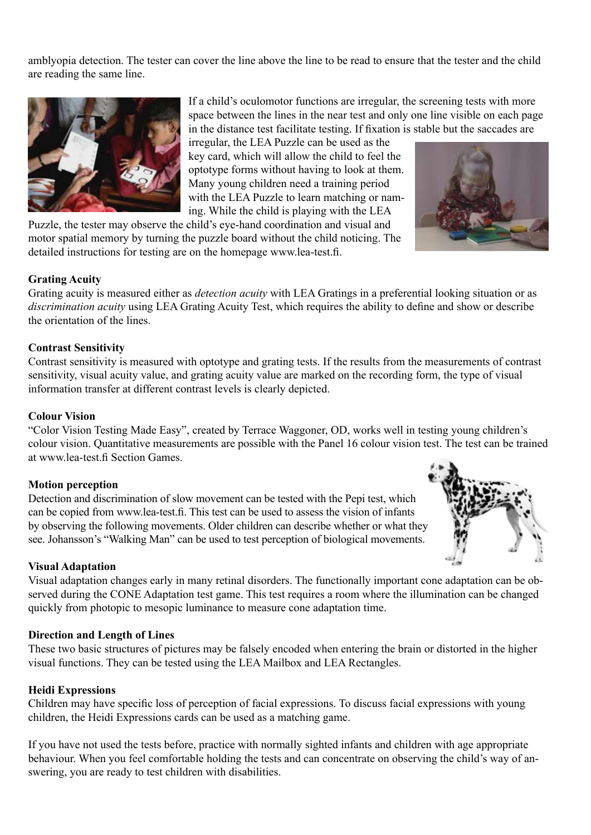amblyopia detection. The tester can cover the line above the line to be read to ensure that the tester and the child are reading the same line.



If a child's oculomotor functions are irregular, the screening tests with more space between the lines in the near test and only one line visible on each page in the distance test facilitate testing. If fixation is stable but the saccades are

irregular, the LEA Puzzle can be used as the key card, which will allow the child to feel the optotype forms without having to look at them. Many young children need a training period with the LEA Puzzle to learn matching or naming. While the child is playing with the LEA

Puzzle, the tester may observe the child's eye-hand coordination and visual and motor spatial memory by turning the puzzle board without the child noticing. The detailed instructions for testing are on the homepage www.lea-test.fi.

# **Grating Acuity**

Grating acuity is measured either as *detection acuity* with LEA Gratings in a preferential looking situation or as *discrimination acuity* using LEA Grating Acuity Test, which requires the ability to define and show or describe the orientation of the lines.

# **Contrast Sensitivity**

Contrast sensitivity is measured with optotype and grating tests. If the results from the measurements of contrast sensitivity, visual acuity value, and grating acuity value are marked on the recording form, the type of visual information transfer at different contrast levels is clearly depicted.

## **Colour Vision**

"Color Vision Testing Made Easy", created by Terrace Waggoner, OD, works well in testing young children's colour vision. Quantitative measurements are possible with the Panel 16 colour vision test. The test can be trained at www.lea-test.fi Section Games.

## **Motion perception**

Detection and discrimination of slow movement can be tested with the Pepi test, which can be copied from www.lea-test.fi. This test can be used to assess the vision of infants by observing the following movements. Older children can describe whether or what they see. Johansson's "Walking Man" can be used to test perception of biological movements.

## **Visual Adaptation**

Visual adaptation changes early in many retinal disorders. The functionally important cone adaptation can be observed during the CONE Adaptation test game. This test requires a room where the illumination can be changed quickly from photopic to mesopic luminance to measure cone adaptation time.

## **Direction and Length of Lines**

These two basic structures of pictures may be falsely encoded when entering the brain or distorted in the higher visual functions. They can be tested using the LEA Mailbox and LEA Rectangles.

## **Heidi Expressions**

Children may have specific loss of perception of facial expressions. To discuss facial expressions with young children, the Heidi Expressions cards can be used as a matching game.

If you have not used the tests before, practice with normally sighted infants and children with age appropriate behaviour. When you feel comfortable holding the tests and can concentrate on observing the child's way of answering, you are ready to test children with disabilities.